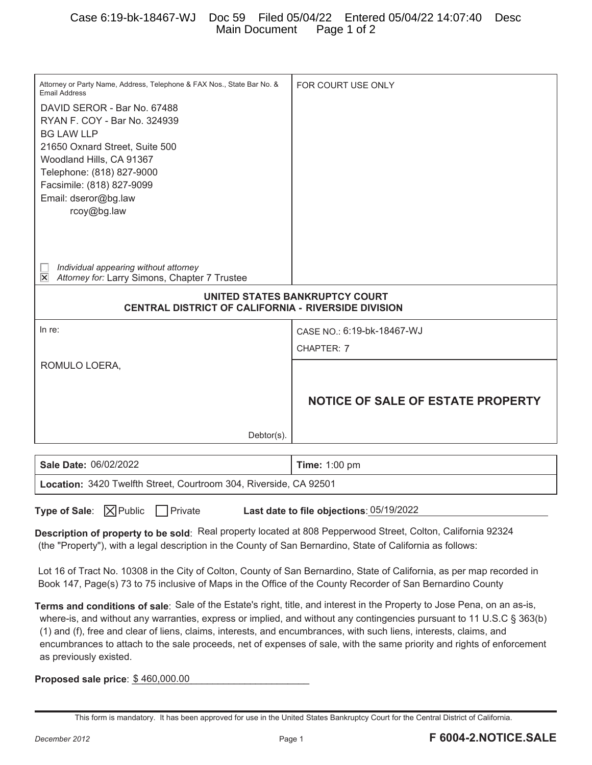| Attorney or Party Name, Address, Telephone & FAX Nos., State Bar No. &<br><b>Email Address</b><br>DAVID SEROR - Bar No. 67488<br>RYAN F. COY - Bar No. 324939<br><b>BG LAW LLP</b><br>21650 Oxnard Street, Suite 500<br>Woodland Hills, CA 91367<br>Telephone: (818) 827-9000<br>Facsimile: (818) 827-9099<br>Email: dseror@bg.law<br>rcoy@bg.law                                                                                                                                                                           | FOR COURT USE ONLY                       |
|-----------------------------------------------------------------------------------------------------------------------------------------------------------------------------------------------------------------------------------------------------------------------------------------------------------------------------------------------------------------------------------------------------------------------------------------------------------------------------------------------------------------------------|------------------------------------------|
| Individual appearing without attorney<br>$\overline{\mathsf{x}}$<br>Attorney for: Larry Simons, Chapter 7 Trustee                                                                                                                                                                                                                                                                                                                                                                                                           |                                          |
|                                                                                                                                                                                                                                                                                                                                                                                                                                                                                                                             |                                          |
| UNITED STATES BANKRUPTCY COURT<br><b>CENTRAL DISTRICT OF CALIFORNIA - RIVERSIDE DIVISION</b>                                                                                                                                                                                                                                                                                                                                                                                                                                |                                          |
|                                                                                                                                                                                                                                                                                                                                                                                                                                                                                                                             |                                          |
| In re:                                                                                                                                                                                                                                                                                                                                                                                                                                                                                                                      | CASE NO.: 6:19-bk-18467-WJ               |
|                                                                                                                                                                                                                                                                                                                                                                                                                                                                                                                             | CHAPTER: 7                               |
| ROMULO LOERA,<br>$Dektor(s)$ .                                                                                                                                                                                                                                                                                                                                                                                                                                                                                              | <b>NOTICE OF SALE OF ESTATE PROPERTY</b> |
|                                                                                                                                                                                                                                                                                                                                                                                                                                                                                                                             |                                          |
| Sale Date: 06/02/2022                                                                                                                                                                                                                                                                                                                                                                                                                                                                                                       | <b>Time: 1:00 pm</b>                     |
| Location: 3420 Twelfth Street, Courtroom 304, Riverside, CA 92501                                                                                                                                                                                                                                                                                                                                                                                                                                                           |                                          |
| Type of Sale:   X Public<br>    Private<br>Last date to file objections: 05/19/2022<br>Description of property to be sold: Real property located at 808 Pepperwood Street, Colton, California 92324                                                                                                                                                                                                                                                                                                                         |                                          |
| (the "Property"), with a legal description in the County of San Bernardino, State of California as follows:<br>Lot 16 of Tract No. 10308 in the City of Colton, County of San Bernardino, State of California, as per map recorded in<br>Book 147, Page(s) 73 to 75 inclusive of Maps in the Office of the County Recorder of San Bernardino County                                                                                                                                                                         |                                          |
| Terms and conditions of sale: Sale of the Estate's right, title, and interest in the Property to Jose Pena, on an as-is,<br>where-is, and without any warranties, express or implied, and without any contingencies pursuant to 11 U.S.C § 363(b)<br>(1) and (f), free and clear of liens, claims, interests, and encumbrances, with such liens, interests, claims, and<br>encumbrances to attach to the sale proceeds, net of expenses of sale, with the same priority and rights of enforcement<br>as previously existed. |                                          |

**Proposed sale price**:  $$460,000.00$ 

This form is mandatory. It has been approved for use in the United States Bankruptcy Court for the Central District of California.